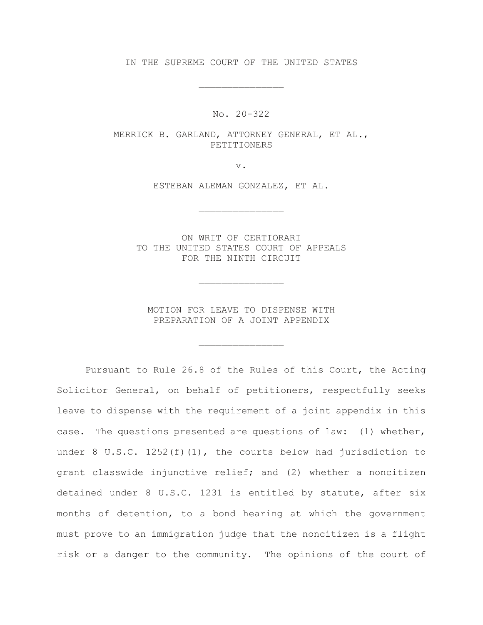IN THE SUPREME COURT OF THE UNITED STATES

\_\_\_\_\_\_\_\_\_\_\_\_\_\_\_

No. 20-322

MERRICK B. GARLAND, ATTORNEY GENERAL, ET AL., PETITIONERS

v.

ESTEBAN ALEMAN GONZALEZ, ET AL.

\_\_\_\_\_\_\_\_\_\_\_\_\_\_\_

ON WRIT OF CERTIORARI TO THE UNITED STATES COURT OF APPEALS FOR THE NINTH CIRCUIT

MOTION FOR LEAVE TO DISPENSE WITH PREPARATION OF A JOINT APPENDIX

\_\_\_\_\_\_\_\_\_\_\_\_\_\_\_

\_\_\_\_\_\_\_\_\_\_\_\_\_\_\_

Pursuant to Rule 26.8 of the Rules of this Court, the Acting Solicitor General, on behalf of petitioners, respectfully seeks leave to dispense with the requirement of a joint appendix in this case. The questions presented are questions of law: (1) whether, under 8 U.S.C.  $1252(f)(1)$ , the courts below had jurisdiction to grant classwide injunctive relief; and (2) whether a noncitizen detained under 8 U.S.C. 1231 is entitled by statute, after six months of detention, to a bond hearing at which the government must prove to an immigration judge that the noncitizen is a flight risk or a danger to the community. The opinions of the court of